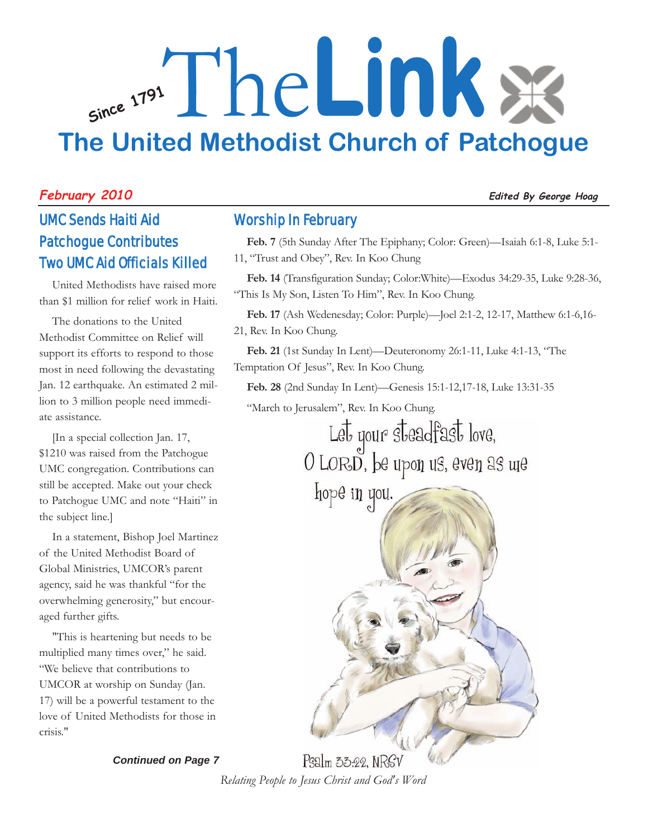## **Since <sup>1791</sup>** The**Link The United Methodist Church of Patchogue**

#### **February 2010 Edited By George Hoag**

### UMC Sends Haiti Aid Patchogue Contributes Two UMC Aid Officials Killed

United Methodists have raised more than \$1 million for relief work in Haiti.

The donations to the United Methodist Committee on Relief will support its efforts to respond to those most in need following the devastating Jan. 12 earthquake. An estimated 2 million to 3 million people need immediate assistance.

[In a special collection Jan. 17, \$1210 was raised from the Patchogue UMC congregation. Contributions can still be accepted. Make out your check to Patchogue UMC and note "Haiti" in the subject line.]

In a statement, Bishop Joel Martinez of the United Methodist Board of Global Ministries, UMCOR's parent agency, said he was thankful "for the overwhelming generosity," but encouraged further gifts.

"This is heartening but needs to be multiplied many times over," he said. "We believe that contributions to UMCOR at worship on Sunday (Jan. 17) will be a powerful testament to the love of United Methodists for those in crisis."

*Continued on Page 7*

#### Worship In February

**Feb. 7** (5th Sunday After The Epiphany; Color: Green)—Isaiah 6:1-8, Luke 5:1- 11, "Trust and Obey", Rev. In Koo Chung

**Feb. 14** (Transfiguration Sunday; Color:White)—Exodus 34:29-35, Luke 9:28-36, "This Is My Son, Listen To Him", Rev. In Koo Chung.

**Feb. 17** (Ash Wedenesday; Color: Purple)—Joel 2:1-2, 12-17, Matthew 6:1-6,16- 21, Rev. In Koo Chung.

**Feb. 21** (1st Sunday In Lent)—Deuteronomy 26:1-11, Luke 4:1-13, "The Temptation Of Jesus", Rev. In Koo Chung.

**Feb. 28** (2nd Sunday In Lent)—Genesis 15:1-12,17-18, Luke 13:31-35

"March to Jerusalem", Rev. In Koo Chung.

Let your steadfast love, O LORD, be upon us, even as we

hope in you.



 $P$ salm 33:22. N $RSV$ *Relating People to Jesus Christ and God's Word*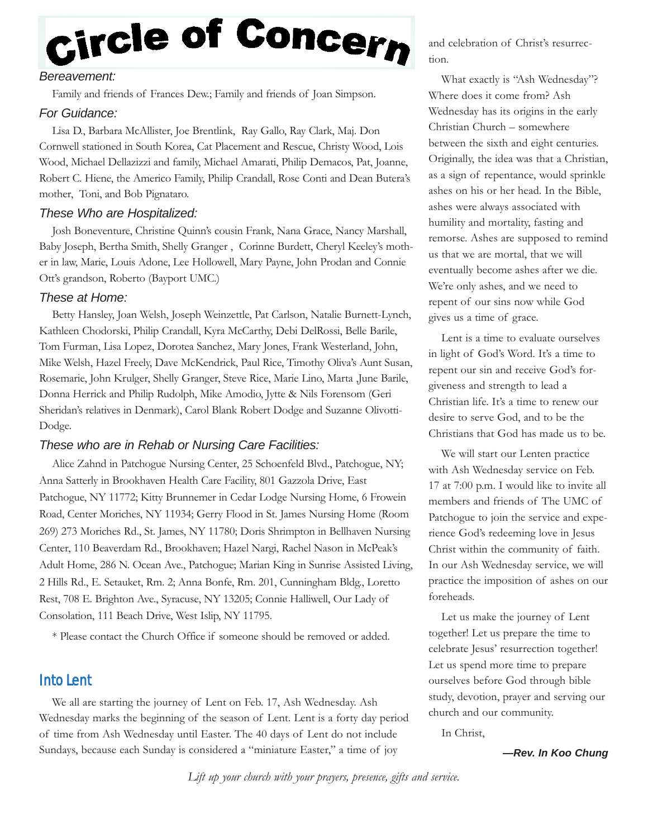# Circle of Concern

#### *Bereavement:*

Family and friends of Frances Dew.; Family and friends of Joan Simpson.

#### *For Guidance:*

Lisa D., Barbara McAllister, Joe Brentlink, Ray Gallo, Ray Clark, Maj. Don Cornwell stationed in South Korea, Cat Placement and Rescue, Christy Wood, Lois Wood, Michael Dellazizzi and family, Michael Amarati, Philip Demacos, Pat, Joanne, Robert C. Hiene, the Americo Family, Philip Crandall, Rose Conti and Dean Butera's mother, Toni, and Bob Pignataro.

#### *These Who are Hospitalized:*

Josh Boneventure, Christine Quinn's cousin Frank, Nana Grace, Nancy Marshall, Baby Joseph, Bertha Smith, Shelly Granger , Corinne Burdett, Cheryl Keeley's mother in law, Marie, Louis Adone, Lee Hollowell, Mary Payne, John Prodan and Connie Ott's grandson, Roberto (Bayport UMC.)

#### *These at Home:*

Betty Hansley, Joan Welsh, Joseph Weinzettle, Pat Carlson, Natalie Burnett-Lynch, Kathleen Chodorski, Philip Crandall, Kyra McCarthy, Debi DelRossi, Belle Barile, Tom Furman, Lisa Lopez, Dorotea Sanchez, Mary Jones, Frank Westerland, John, Mike Welsh, Hazel Freely, Dave McKendrick, Paul Rice, Timothy Oliva's Aunt Susan, Rosemarie, John Krulger, Shelly Granger, Steve Rice, Marie Lino, Marta ,June Barile, Donna Herrick and Philip Rudolph, Mike Amodio, Jytte & Nils Forensom (Geri Sheridan's relatives in Denmark), Carol Blank Robert Dodge and Suzanne Olivotti-Dodge.

#### *These who are in Rehab or Nursing Care Facilities:*

Alice Zahnd in Patchogue Nursing Center, 25 Schoenfeld Blvd., Patchogue, NY; Anna Satterly in Brookhaven Health Care Facility, 801 Gazzola Drive, East Patchogue, NY 11772; Kitty Brunnemer in Cedar Lodge Nursing Home, 6 Frowein Road, Center Moriches, NY 11934; Gerry Flood in St. James Nursing Home (Room 269) 273 Moriches Rd., St. James, NY 11780; Doris Shrimpton in Bellhaven Nursing Center, 110 Beaverdam Rd., Brookhaven; Hazel Nargi, Rachel Nason in McPeak's Adult Home, 286 N. Ocean Ave., Patchogue; Marian King in Sunrise Assisted Living, 2 Hills Rd., E. Setauket, Rm. 2; Anna Bonfe, Rm. 201, Cunningham Bldg., Loretto Rest, 708 E. Brighton Ave., Syracuse, NY 13205; Connie Halliwell, Our Lady of Consolation, 111 Beach Drive, West Islip, NY 11795.

\* Please contact the Church Office if someone should be removed or added.

#### Into Lent

We all are starting the journey of Lent on Feb. 17, Ash Wednesday. Ash Wednesday marks the beginning of the season of Lent. Lent is a forty day period of time from Ash Wednesday until Easter. The 40 days of Lent do not include Sundays, because each Sunday is considered a "miniature Easter," a time of joy

and celebration of Christ's resurrection.

What exactly is "Ash Wednesday"? Where does it come from? Ash Wednesday has its origins in the early Christian Church – somewhere between the sixth and eight centuries. Originally, the idea was that a Christian, as a sign of repentance, would sprinkle ashes on his or her head. In the Bible, ashes were always associated with humility and mortality, fasting and remorse. Ashes are supposed to remind us that we are mortal, that we will eventually become ashes after we die. We're only ashes, and we need to repent of our sins now while God gives us a time of grace.

Lent is a time to evaluate ourselves in light of God's Word. It's a time to repent our sin and receive God's forgiveness and strength to lead a Christian life. It's a time to renew our desire to serve God, and to be the Christians that God has made us to be.

We will start our Lenten practice with Ash Wednesday service on Feb. 17 at 7:00 p.m. I would like to invite all members and friends of The UMC of Patchogue to join the service and experience God's redeeming love in Jesus Christ within the community of faith. In our Ash Wednesday service, we will practice the imposition of ashes on our foreheads.

Let us make the journey of Lent together! Let us prepare the time to celebrate Jesus' resurrection together! Let us spend more time to prepare ourselves before God through bible study, devotion, prayer and serving our church and our community.

In Christ,

*—Rev. In Koo Chung*

*Lift up your church with your prayers, presence, gifts and service.*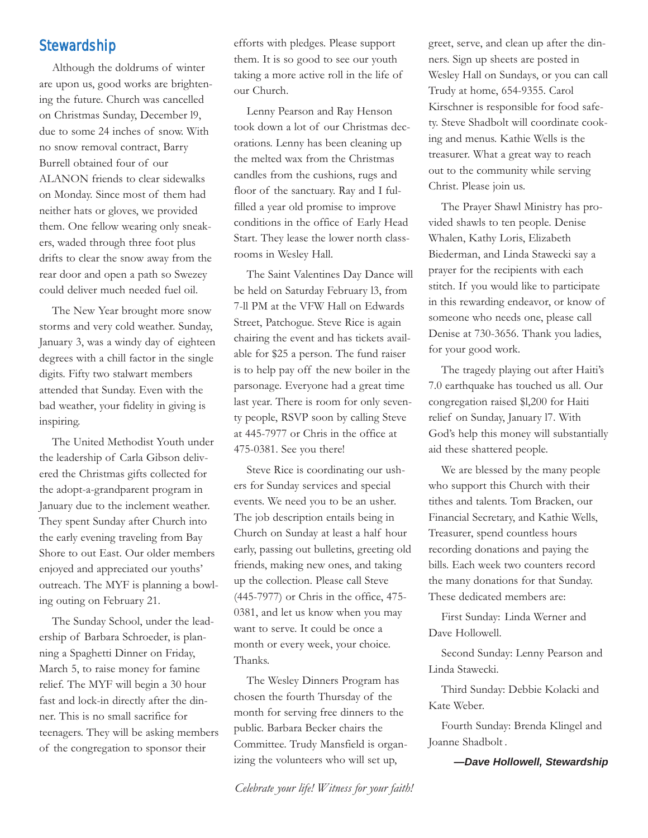#### **Stewardship**

Although the doldrums of winter are upon us, good works are brightening the future. Church was cancelled on Christmas Sunday, December l9, due to some 24 inches of snow. With no snow removal contract, Barry Burrell obtained four of our ALANON friends to clear sidewalks on Monday. Since most of them had neither hats or gloves, we provided them. One fellow wearing only sneakers, waded through three foot plus drifts to clear the snow away from the rear door and open a path so Swezey could deliver much needed fuel oil.

The New Year brought more snow storms and very cold weather. Sunday, January 3, was a windy day of eighteen degrees with a chill factor in the single digits. Fifty two stalwart members attended that Sunday. Even with the bad weather, your fidelity in giving is inspiring.

The United Methodist Youth under the leadership of Carla Gibson delivered the Christmas gifts collected for the adopt-a-grandparent program in January due to the inclement weather. They spent Sunday after Church into the early evening traveling from Bay Shore to out East. Our older members enjoyed and appreciated our youths' outreach. The MYF is planning a bowling outing on February 21.

The Sunday School, under the leadership of Barbara Schroeder, is planning a Spaghetti Dinner on Friday, March 5, to raise money for famine relief. The MYF will begin a 30 hour fast and lock-in directly after the dinner. This is no small sacrifice for teenagers. They will be asking members of the congregation to sponsor their

efforts with pledges. Please support them. It is so good to see our youth taking a more active roll in the life of our Church.

Lenny Pearson and Ray Henson took down a lot of our Christmas decorations. Lenny has been cleaning up the melted wax from the Christmas candles from the cushions, rugs and floor of the sanctuary. Ray and I fulfilled a year old promise to improve conditions in the office of Early Head Start. They lease the lower north classrooms in Wesley Hall.

The Saint Valentines Day Dance will be held on Saturday February l3, from 7-ll PM at the VFW Hall on Edwards Street, Patchogue. Steve Rice is again chairing the event and has tickets available for \$25 a person. The fund raiser is to help pay off the new boiler in the parsonage. Everyone had a great time last year. There is room for only seventy people, RSVP soon by calling Steve at 445-7977 or Chris in the office at 475-0381. See you there!

Steve Rice is coordinating our ushers for Sunday services and special events. We need you to be an usher. The job description entails being in Church on Sunday at least a half hour early, passing out bulletins, greeting old friends, making new ones, and taking up the collection. Please call Steve (445-7977) or Chris in the office, 475- 0381, and let us know when you may want to serve. It could be once a month or every week, your choice. Thanks.

The Wesley Dinners Program has chosen the fourth Thursday of the month for serving free dinners to the public. Barbara Becker chairs the Committee. Trudy Mansfield is organizing the volunteers who will set up,

greet, serve, and clean up after the dinners. Sign up sheets are posted in Wesley Hall on Sundays, or you can call Trudy at home, 654-9355. Carol Kirschner is responsible for food safety. Steve Shadbolt will coordinate cooking and menus. Kathie Wells is the treasurer. What a great way to reach out to the community while serving Christ. Please join us.

The Prayer Shawl Ministry has provided shawls to ten people. Denise Whalen, Kathy Loris, Elizabeth Biederman, and Linda Stawecki say a prayer for the recipients with each stitch. If you would like to participate in this rewarding endeavor, or know of someone who needs one, please call Denise at 730-3656. Thank you ladies, for your good work.

The tragedy playing out after Haiti's 7.0 earthquake has touched us all. Our congregation raised \$l,200 for Haiti relief on Sunday, January l7. With God's help this money will substantially aid these shattered people.

We are blessed by the many people who support this Church with their tithes and talents. Tom Bracken, our Financial Secretary, and Kathie Wells, Treasurer, spend countless hours recording donations and paying the bills. Each week two counters record the many donations for that Sunday. These dedicated members are:

First Sunday: Linda Werner and Dave Hollowell.

Second Sunday: Lenny Pearson and Linda Stawecki.

Third Sunday: Debbie Kolacki and Kate Weber.

Fourth Sunday: Brenda Klingel and Joanne Shadbolt .

*—Dave Hollowell, Stewardship*

*Celebrate your life! Witness for your faith!*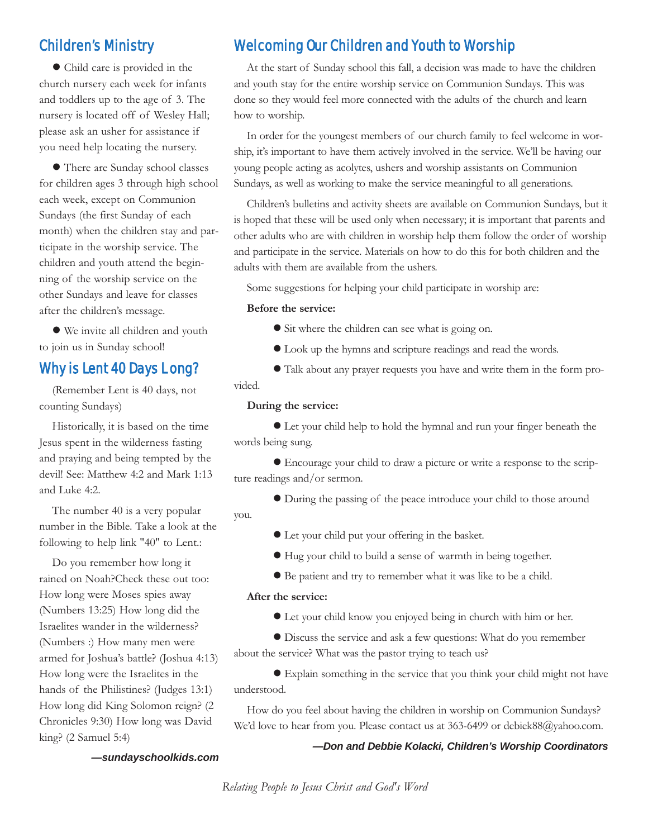#### Children's Ministry

 Child care is provided in the church nursery each week for infants and toddlers up to the age of 3. The nursery is located off of Wesley Hall; please ask an usher for assistance if you need help locating the nursery.

 There are Sunday school classes for children ages 3 through high school each week, except on Communion Sundays (the first Sunday of each month) when the children stay and participate in the worship service. The children and youth attend the beginning of the worship service on the other Sundays and leave for classes after the children's message.

 We invite all children and youth to join us in Sunday school!

#### Why is Lent 40 Days L ong?

(Remember Lent is 40 days, not counting Sundays)

Historically, it is based on the time Jesus spent in the wilderness fasting and praying and being tempted by the devil! See: Matthew 4:2 and Mark 1:13 and Luke 4:2.

The number 40 is a very popular number in the Bible. Take a look at the following to help link "40" to Lent.:

Do you remember how long it rained on Noah?Check these out too: How long were Moses spies away (Numbers 13:25) How long did the Israelites wander in the wilderness? (Numbers :) How many men were armed for Joshua's battle? (Joshua 4:13) How long were the Israelites in the hands of the Philistines? (Judges 13:1) How long did King Solomon reign? (2 Chronicles 9:30) How long was David king? (2 Samuel 5:4)

#### Welcoming Our Children and Youth to Worship

At the start of Sunday school this fall, a decision was made to have the children and youth stay for the entire worship service on Communion Sundays. This was done so they would feel more connected with the adults of the church and learn how to worship.

In order for the youngest members of our church family to feel welcome in worship, it's important to have them actively involved in the service. We'll be having our young people acting as acolytes, ushers and worship assistants on Communion Sundays, as well as working to make the service meaningful to all generations.

Children's bulletins and activity sheets are available on Communion Sundays, but it is hoped that these will be used only when necessary; it is important that parents and other adults who are with children in worship help them follow the order of worship and participate in the service. Materials on how to do this for both children and the adults with them are available from the ushers.

Some suggestions for helping your child participate in worship are:

#### **Before the service:**

- Sit where the children can see what is going on.
- Look up the hymns and scripture readings and read the words.

 Talk about any prayer requests you have and write them in the form provided.

#### **During the service:**

 Let your child help to hold the hymnal and run your finger beneath the words being sung.

 Encourage your child to draw a picture or write a response to the scripture readings and/or sermon.

During the passing of the peace introduce your child to those around

- Let your child put your offering in the basket.
- Hug your child to build a sense of warmth in being together.
- Be patient and try to remember what it was like to be a child.

#### **After the service:**

you.

Let your child know you enjoyed being in church with him or her.

 Discuss the service and ask a few questions: What do you remember about the service? What was the pastor trying to teach us?

 Explain something in the service that you think your child might not have understood.

How do you feel about having the children in worship on Communion Sundays? We'd love to hear from you. Please contact us at 363-6499 or debiek88@yahoo.com.

*—Don and Debbie Kolacki, Children's Worship Coordinators*

#### *—sundayschoolkids.com*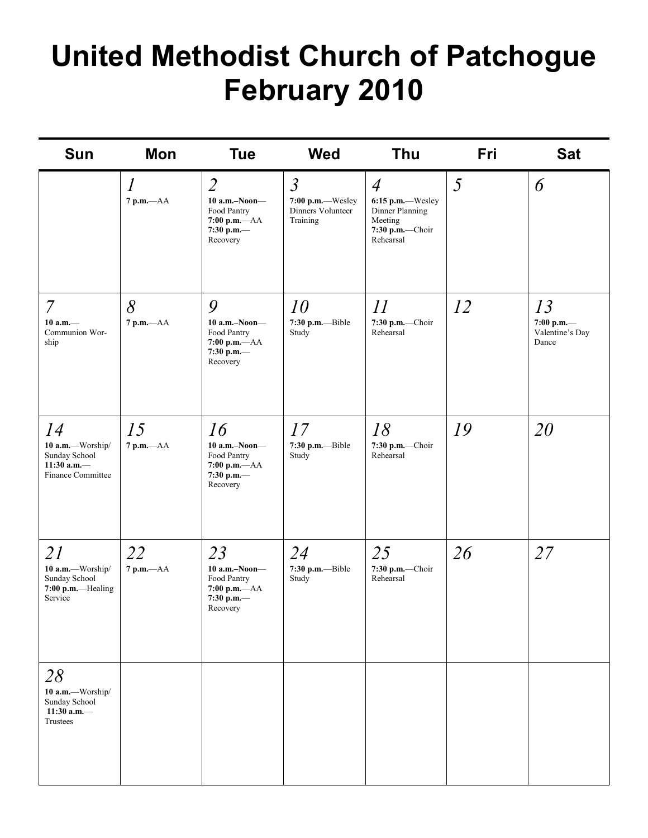## **United Methodist Church of Patchogue February 2010**

| <b>Sun</b>                                                                            | <b>Mon</b>              | <b>Tue</b>                                                                                    | <b>Wed</b>                                                          | <b>Thu</b>                                                                                       | Fri | <b>Sat</b>                                   |
|---------------------------------------------------------------------------------------|-------------------------|-----------------------------------------------------------------------------------------------|---------------------------------------------------------------------|--------------------------------------------------------------------------------------------------|-----|----------------------------------------------|
|                                                                                       | $\iota$<br>$7 p.m. -AA$ | $\overline{2}$<br>$10$ a.m.-Noon-<br>Food Pantry<br>$7:00 p.m. -AA$<br>7:30 p.m.—<br>Recovery | $\mathfrak{Z}$<br>7:00 p.m.-Wesley<br>Dinners Volunteer<br>Training | $\overline{4}$<br>6:15 p.m.-Wesley<br>Dinner Planning<br>Meeting<br>7:30 p.m.-Choir<br>Rehearsal | 5   | 6                                            |
| $\overline{7}$<br>$10 a.m.$ —<br>Communion Wor-<br>ship                               | 8<br>$7$ p.m. $-AA$     | 9<br>$10$ a.m.-Noon-<br>Food Pantry<br>$7:00$ p.m. $-AA$<br>7:30 p.m.-<br>Recovery            | 10<br>7:30 p.m.--Bible<br>Study                                     | 11<br>7:30 p.m.-Choir<br>Rehearsal                                                               | 12  | 13<br>7:00 p.m.—<br>Valentine's Day<br>Dance |
| 14<br>10 a.m.-Worship/<br>Sunday School<br>11:30 a.m. $-$<br><b>Finance Committee</b> | 15<br>$7$ p.m. $-AA$    | 16<br>$10$ a.m.-Noon-<br>Food Pantry<br>$7:00$ p.m. $-AA$<br>7:30 p.m.-<br>Recovery           | 17<br>7:30 p.m.--Bible<br>Study                                     | 18<br>7:30 p.m.-Choir<br>Rehearsal                                                               | 19  | 20                                           |
| 21<br>10 a.m.-Worship/<br>Sunday School<br>7:00 p.m.-Healing<br>Service               | 22<br>$7$ p.m. $-AA$    | 23<br>$10$ a.m.-Noon-<br>Food Pantry<br>$7:00$ p.m. $-AA$<br>7:30 p.m.—<br>Recovery           | 24<br>7:30 p.m.--Bible<br>Study                                     | 25<br>7:30 p.m.-Choir<br>Rehearsal                                                               | 26  | 27                                           |
| 28<br>10 a.m.-Worship/<br>Sunday School<br>11:30 a.m. $-$<br>Trustees                 |                         |                                                                                               |                                                                     |                                                                                                  |     |                                              |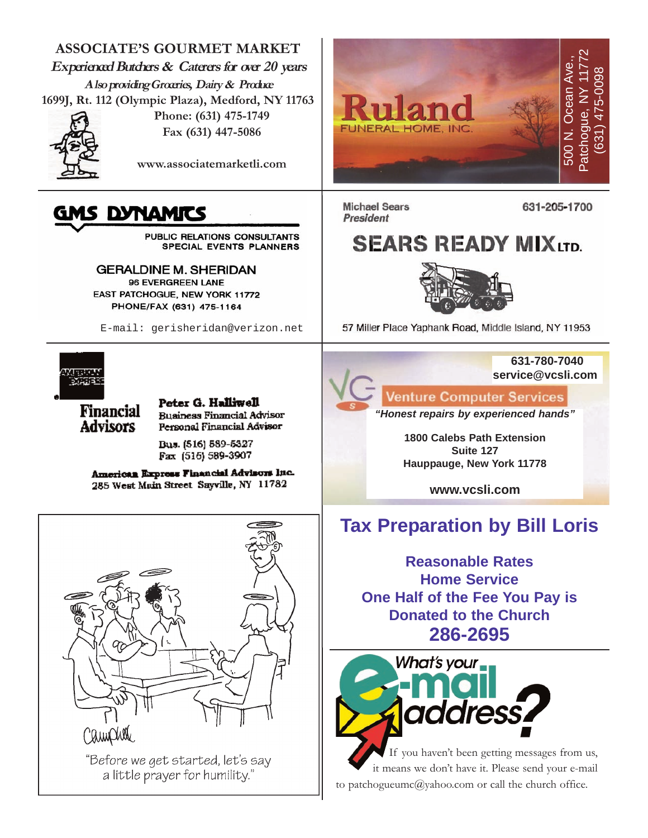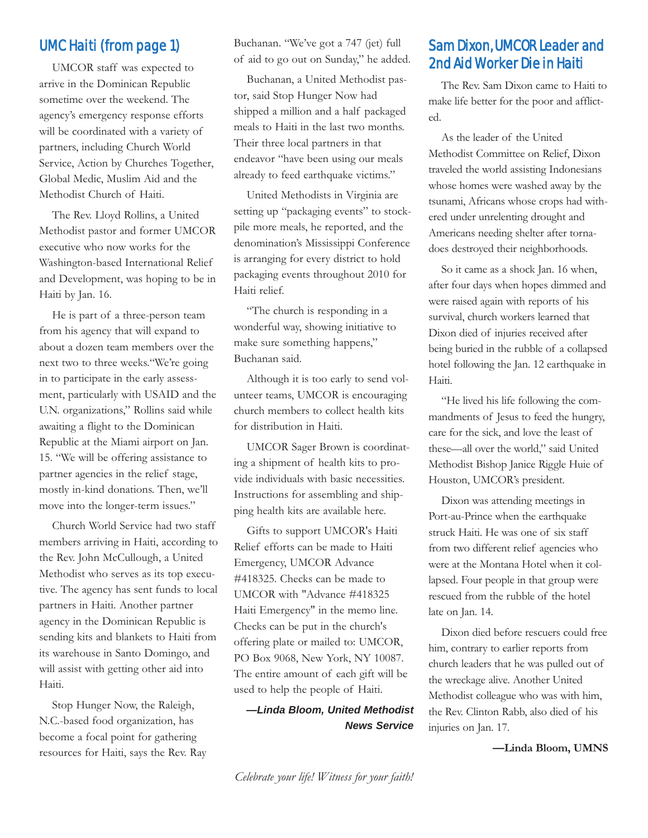#### UMC Haiti (from page 1)

UMCOR staff was expected to arrive in the Dominican Republic sometime over the weekend. The agency's emergency response efforts will be coordinated with a variety of partners, including Church World Service, Action by Churches Together, Global Medic, Muslim Aid and the Methodist Church of Haiti.

The Rev. Lloyd Rollins, a United Methodist pastor and former UMCOR executive who now works for the Washington-based International Relief and Development, was hoping to be in Haiti by Jan. 16.

He is part of a three-person team from his agency that will expand to about a dozen team members over the next two to three weeks."We're going in to participate in the early assessment, particularly with USAID and the U.N. organizations," Rollins said while awaiting a flight to the Dominican Republic at the Miami airport on Jan. 15. "We will be offering assistance to partner agencies in the relief stage, mostly in-kind donations. Then, we'll move into the longer-term issues."

Church World Service had two staff members arriving in Haiti, according to the Rev. John McCullough, a United Methodist who serves as its top executive. The agency has sent funds to local partners in Haiti. Another partner agency in the Dominican Republic is sending kits and blankets to Haiti from its warehouse in Santo Domingo, and will assist with getting other aid into Haiti.

Stop Hunger Now, the Raleigh, N.C.-based food organization, has become a focal point for gathering resources for Haiti, says the Rev. Ray Buchanan. "We've got a 747 (jet) full of aid to go out on Sunday," he added.

Buchanan, a United Methodist pastor, said Stop Hunger Now had shipped a million and a half packaged meals to Haiti in the last two months. Their three local partners in that endeavor "have been using our meals already to feed earthquake victims."

United Methodists in Virginia are setting up "packaging events" to stockpile more meals, he reported, and the denomination's Mississippi Conference is arranging for every district to hold packaging events throughout 2010 for Haiti relief.

"The church is responding in a wonderful way, showing initiative to make sure something happens," Buchanan said.

Although it is too early to send volunteer teams, UMCOR is encouraging church members to collect health kits for distribution in Haiti.

UMCOR Sager Brown is coordinating a shipment of health kits to provide individuals with basic necessities. Instructions for assembling and shipping health kits are available here.

Gifts to support UMCOR's Haiti Relief efforts can be made to Haiti Emergency, UMCOR Advance #418325. Checks can be made to UMCOR with "Advance #418325 Haiti Emergency" in the memo line. Checks can be put in the church's offering plate or mailed to: UMCOR, PO Box 9068, New York, NY 10087. The entire amount of each gift will be used to help the people of Haiti.

*—Linda Bloom, United Methodist News Service*

#### Sam Dixon, UMCOR Leader and 2nd Aid Worker Die in Haiti

The Rev. Sam Dixon came to Haiti to make life better for the poor and afflicted.

As the leader of the United Methodist Committee on Relief, Dixon traveled the world assisting Indonesians whose homes were washed away by the tsunami, Africans whose crops had withered under unrelenting drought and Americans needing shelter after tornadoes destroyed their neighborhoods.

So it came as a shock Jan. 16 when, after four days when hopes dimmed and were raised again with reports of his survival, church workers learned that Dixon died of injuries received after being buried in the rubble of a collapsed hotel following the Jan. 12 earthquake in Haiti.

"He lived his life following the commandments of Jesus to feed the hungry, care for the sick, and love the least of these—all over the world," said United Methodist Bishop Janice Riggle Huie of Houston, UMCOR's president.

Dixon was attending meetings in Port-au-Prince when the earthquake struck Haiti. He was one of six staff from two different relief agencies who were at the Montana Hotel when it collapsed. Four people in that group were rescued from the rubble of the hotel late on Jan. 14.

Dixon died before rescuers could free him, contrary to earlier reports from church leaders that he was pulled out of the wreckage alive. Another United Methodist colleague who was with him, the Rev. Clinton Rabb, also died of his injuries on Jan. 17.

#### **—Linda Bloom, UMNS**